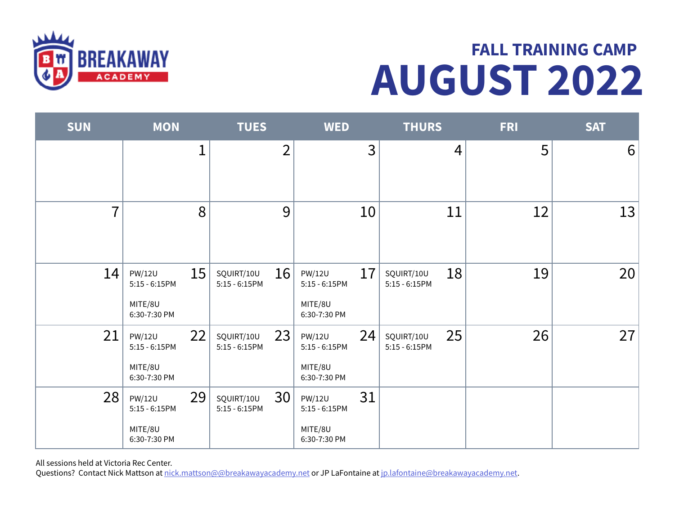

## AUGUST 2022 FALL TRAINING CAMP

| <b>SUN</b>     | <b>MON</b>                                                        | <b>TUES</b>                          | <b>WED</b>                                                         | <b>THURS</b>                      | <b>FRI</b> | <b>SAT</b> |
|----------------|-------------------------------------------------------------------|--------------------------------------|--------------------------------------------------------------------|-----------------------------------|------------|------------|
|                | $\mathbf 1$                                                       | $\overline{2}$                       | $\overline{3}$                                                     | $\overline{4}$                    | 5          | $6 \mid$   |
| $\overline{7}$ | 8                                                                 | 9                                    | 10                                                                 | 11                                | 12         | 13         |
| 14             | 15<br><b>PW/12U</b><br>$5:15 - 6:15PM$<br>MITE/8U<br>6:30-7:30 PM | 16<br>SQUIRT/10U<br>$5:15 - 6:15$ PM | 17<br><b>PW/12U</b><br>$5:15 - 6:15$ PM<br>MITE/8U<br>6:30-7:30 PM | 18<br>SQUIRT/10U<br>5:15 - 6:15PM | 19         | 20         |
| 21             | 22<br><b>PW/12U</b><br>$5:15 - 6:15PM$<br>MITE/8U<br>6:30-7:30 PM | 23<br>SQUIRT/10U<br>$5:15 - 6:15$ PM | 24<br><b>PW/12U</b><br>$5:15 - 6:15$ PM<br>MITE/8U<br>6:30-7:30 PM | 25<br>SQUIRT/10U<br>5:15 - 6:15PM | 26         | 27         |
| 28             | 29<br><b>PW/12U</b><br>5:15 - 6:15PM<br>MITE/8U<br>6:30-7:30 PM   | 30<br>SQUIRT/10U<br>$5:15 - 6:15$ PM | 31<br><b>PW/12U</b><br>$5:15 - 6:15$ PM<br>MITE/8U<br>6:30-7:30 PM |                                   |            |            |

All sessions held at Victoria Rec Center.

Questions? Contact Nick Mattson at nick.mattson@@breakawayacademy.net or JP LaFontaine at jp.lafontaine@breakawayacademy.net.